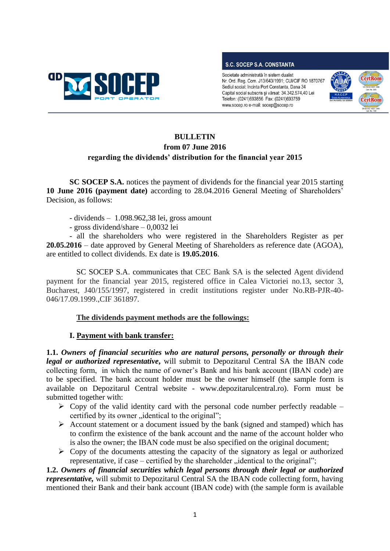

#### **S.C. SOCEP S.A. CONSTANTA**

Societate administrată în sistem dualist Nr. Ord. Reg. Com. J13/643/1991; CUI/CIF RO 1870767 Sediul social: Incinta Port Constanta, Dana 34 Capital social subscris și vărsat: 34.342.574,40 Lei Telefon: (0241)693856 Fax: (0241)693759 www.socep.ro e-mail: socep@socep.ro



# **BULLETIN from 07 June 2016 regarding the dividends' distribution for the financial year 2015**

**SC SOCEP S.A.** notices the payment of dividends for the financial year 2015 starting **10 June 2016 (payment date)** according to 28.04.2016 General Meeting of Shareholders' Decision, as follows:

- dividends – 1.098.962,38 lei, gross amount

- gross dividend/share – 0,0032 lei

- all the shareholders who were registered in the Shareholders Register as per **20.05.2016** – date approved by General Meeting of Shareholders as reference date (AGOA), are entitled to collect dividends. Ex date is **19.05.2016**.

SC SOCEP S.A. communicates that CEC Bank SA is the selected Agent dividend payment for the financial year 2015, registered office in Calea Victoriei no.13, sector 3, Bucharest, J40/155/1997, registered in credit institutions register under No.RB-PJR-40- 046/17.09.1999.,CIF 361897.

# **The dividends payment methods are the followings:**

# **I. Payment with bank transfer:**

**1.1.** *Owners of financial securities who are natural persons, personally or through their legal or authorized representative***,** will submit to Depozitarul Central SA the IBAN code collecting form, in which the name of owner's Bank and his bank account (IBAN code) are to be specified. The bank account holder must be the owner himself (the sample form is available on Depozitarul Central website - www.depozitarulcentral.ro). Form must be submitted together with:

- $\triangleright$  Copy of the valid identity card with the personal code number perfectly readable certified by its owner "identical to the original";
- $\triangleright$  Account statement or a document issued by the bank (signed and stamped) which has to confirm the existence of the bank account and the name of the account holder who is also the owner; the IBAN code must be also specified on the original document;
- $\triangleright$  Copy of the documents attesting the capacity of the signatory as legal or authorized representative, if case – certified by the shareholder  $\ldots$  identical to the original";

**1.2.** *Owners of financial securities which legal persons through their legal or authorized representative,* will submit to Depozitarul Central SA the IBAN code collecting form, having mentioned their Bank and their bank account (IBAN code) with (the sample form is available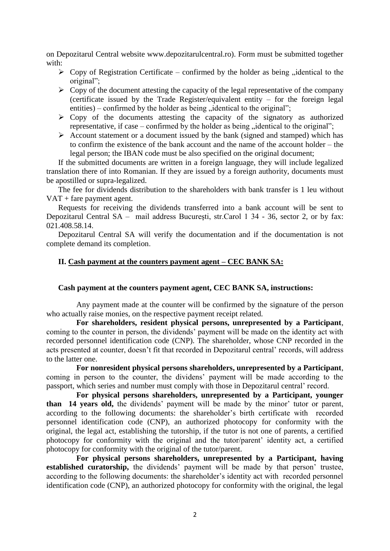on Depozitarul Central website www.depozitarulcentral.ro). Form must be submitted together with:

- $\triangleright$  Copy of Registration Certificate confirmed by the holder as being , identical to the original";
- $\triangleright$  Copy of the document attesting the capacity of the legal representative of the company (certificate issued by the Trade Register/equivalent entity – for the foreign legal entities) – confirmed by the holder as being  $\ddot{\text{u}}$  identical to the original";
- $\triangleright$  Copy of the documents attesting the capacity of the signatory as authorized representative, if case – confirmed by the holder as being  $\ldots$  identical to the original";
- $\triangleright$  Account statement or a document issued by the bank (signed and stamped) which has to confirm the existence of the bank account and the name of the account holder – the legal person; the IBAN code must be also specified on the original document;

If the submitted documents are written in a foreign language, they will include legalized translation there of into Romanian. If they are issued by a foreign authority, documents must be apostilled or supra-legalized.

The fee for dividends distribution to the shareholders with bank transfer is 1 leu without VAT + fare payment agent.

Requests for receiving the dividends transferred into a bank account will be sent to Depozitarul Central SA – mail address Bucureşti, str.Carol 1 34 - 36, sector 2, or by fax: 021.408.58.14.

Depozitarul Central SA will verify the documentation and if the documentation is not complete demand its completion.

## **II. Cash payment at the counters payment agent – CEC BANK SA:**

#### **Cash payment at the counters payment agent, CEC BANK SA, instructions:**

Any payment made at the counter will be confirmed by the signature of the person who actually raise monies, on the respective payment receipt related.

**For shareholders, resident physical persons, unrepresented by a Participant**, coming to the counter in person, the dividends' payment will be made on the identity act with recorded personnel identification code (CNP). The shareholder, whose CNP recorded in the acts presented at counter, doesn't fit that recorded in Depozitarul central' records, will address to the latter one.

**For nonresident physical persons shareholders, unrepresented by a Participant**, coming in person to the counter, the dividens' payment will be made according to the passport, which series and number must comply with those in Depozitarul central' record.

**For physical persons shareholders, unrepresented by a Participant, younger than 14 years old,** the dividends' payment will be made by the minor' tutor or parent, according to the following documents: the shareholder's birth certificate with recorded personnel identification code (CNP), an authorized photocopy for conformity with the original, the legal act, establishing the tutorship, if the tutor is not one of parents, a certified photocopy for conformity with the original and the tutor/parent' identity act, a certified photocopy for conformity with the original of the tutor/parent.

**For physical persons shareholders, unrepresented by a Participant, having established curatorship,** the dividends' payment will be made by that person' trustee, according to the following documents: the shareholder's identity act with recorded personnel identification code (CNP), an authorized photocopy for conformity with the original, the legal